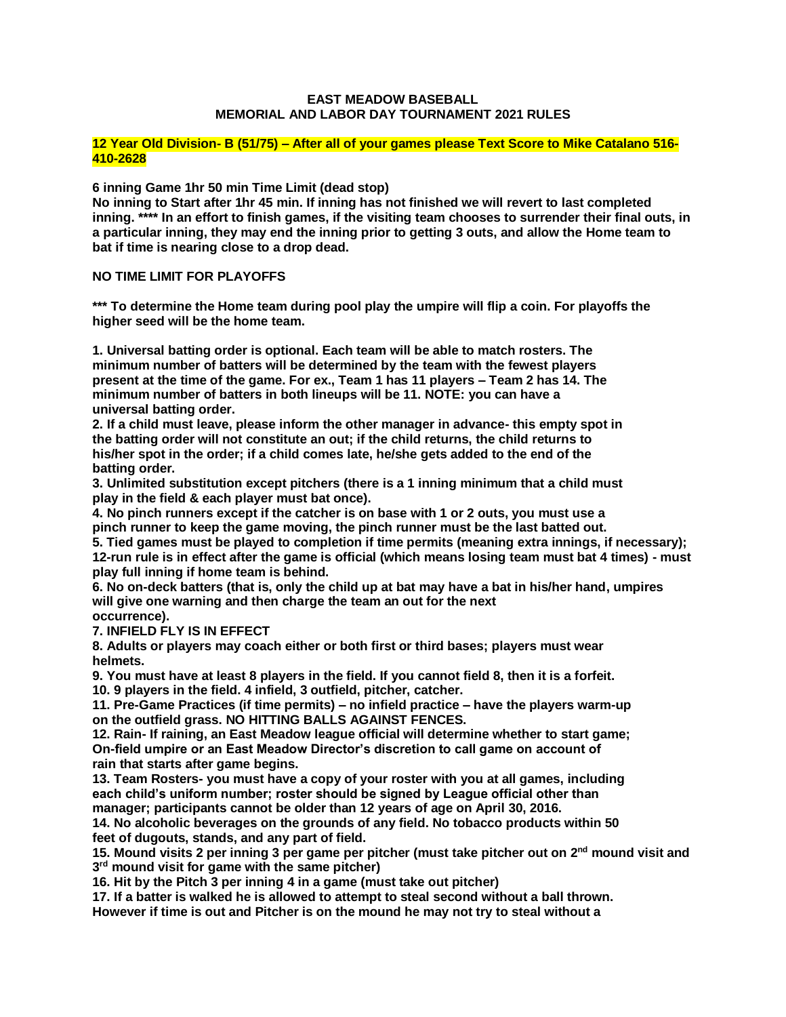#### **EAST MEADOW BASEBALL MEMORIAL AND LABOR DAY TOURNAMENT 2021 RULES**

#### **12 Year Old Division- B (51/75) – After all of your games please Text Score to Mike Catalano 516- 410-2628**

**6 inning Game 1hr 50 min Time Limit (dead stop)**

**No inning to Start after 1hr 45 min. If inning has not finished we will revert to last completed inning. \*\*\*\* In an effort to finish games, if the visiting team chooses to surrender their final outs, in a particular inning, they may end the inning prior to getting 3 outs, and allow the Home team to bat if time is nearing close to a drop dead.** 

## **NO TIME LIMIT FOR PLAYOFFS**

**\*\*\* To determine the Home team during pool play the umpire will flip a coin. For playoffs the higher seed will be the home team.** 

**1. Universal batting order is optional. Each team will be able to match rosters. The minimum number of batters will be determined by the team with the fewest players present at the time of the game. For ex., Team 1 has 11 players – Team 2 has 14. The minimum number of batters in both lineups will be 11. NOTE: you can have a universal batting order.**

**2. If a child must leave, please inform the other manager in advance- this empty spot in the batting order will not constitute an out; if the child returns, the child returns to his/her spot in the order; if a child comes late, he/she gets added to the end of the batting order.** 

**3. Unlimited substitution except pitchers (there is a 1 inning minimum that a child must play in the field & each player must bat once).**

**4. No pinch runners except if the catcher is on base with 1 or 2 outs, you must use a pinch runner to keep the game moving, the pinch runner must be the last batted out.**

**5. Tied games must be played to completion if time permits (meaning extra innings, if necessary); 12-run rule is in effect after the game is official (which means losing team must bat 4 times) - must play full inning if home team is behind.**

**6. No on-deck batters (that is, only the child up at bat may have a bat in his/her hand, umpires will give one warning and then charge the team an out for the next occurrence).**

**7. INFIELD FLY IS IN EFFECT**

**8. Adults or players may coach either or both first or third bases; players must wear helmets.**

**9. You must have at least 8 players in the field. If you cannot field 8, then it is a forfeit. 10. 9 players in the field. 4 infield, 3 outfield, pitcher, catcher.**

**11. Pre-Game Practices (if time permits) – no infield practice – have the players warm-up on the outfield grass. NO HITTING BALLS AGAINST FENCES.**

**12. Rain- If raining, an East Meadow league official will determine whether to start game; On-field umpire or an East Meadow Director's discretion to call game on account of rain that starts after game begins.**

**13. Team Rosters- you must have a copy of your roster with you at all games, including each child's uniform number; roster should be signed by League official other than manager; participants cannot be older than 12 years of age on April 30, 2016.**

**14. No alcoholic beverages on the grounds of any field. No tobacco products within 50 feet of dugouts, stands, and any part of field.**

**15. Mound visits 2 per inning 3 per game per pitcher (must take pitcher out on 2nd mound visit and 3 rd mound visit for game with the same pitcher)**

**16. Hit by the Pitch 3 per inning 4 in a game (must take out pitcher)**

**17. If a batter is walked he is allowed to attempt to steal second without a ball thrown. However if time is out and Pitcher is on the mound he may not try to steal without a**